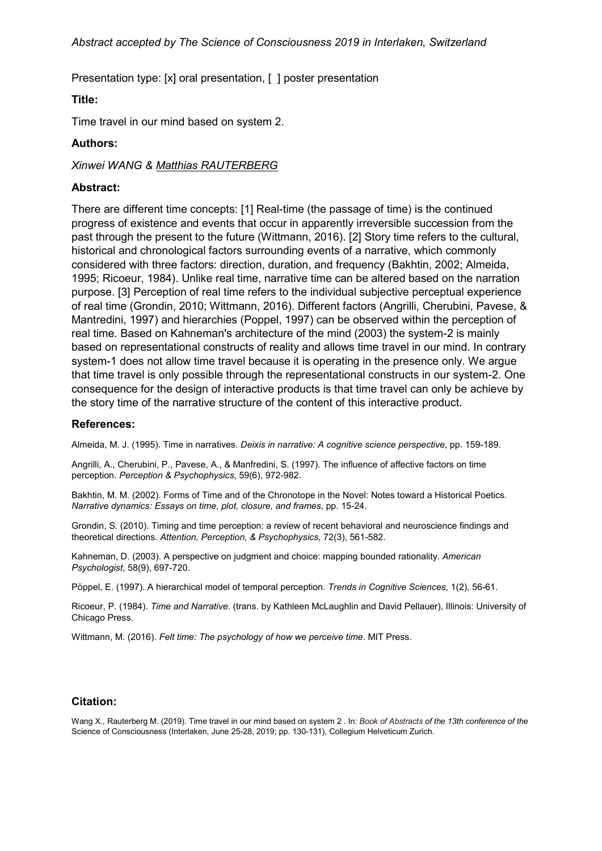Presentation type: [x] oral presentation, [ ] poster presentation

# **Title:**

Time travel in our mind based on system 2.

# **Authors:**

*Xinwei WANG & Matthias RAUTERBERG*

# **Abstract:**

There are different time concepts: [1] Real-time (the passage of time) is the continued progress of existence and events that occur in apparently irreversible succession from the past through the present to the future (Wittmann, 2016). [2] Story time refers to the cultural, historical and chronological factors surrounding events of a narrative, which commonly considered with three factors: direction, duration, and frequency (Bakhtin, 2002; Almeida, 1995; Ricoeur, 1984). Unlike real time, narrative time can be altered based on the narration purpose. [3] Perception of real time refers to the individual subjective perceptual experience of real time (Grondin, 2010; Wittmann, 2016). Different factors (Angrilli, Cherubini, Pavese, & Mantredini, 1997) and hierarchies (Poppel, 1997) can be observed within the perception of real time. Based on Kahneman's architecture of the mind (2003) the system-2 is mainly based on representational constructs of reality and allows time travel in our mind. In contrary system-1 does not allow time travel because it is operating in the presence only. We argue that time travel is only possible through the representational constructs in our system-2. One consequence for the design of interactive products is that time travel can only be achieve by the story time of the narrative structure of the content of this interactive product.

#### **References:**

Almeida, M. J. (1995). Time in narratives. *Deixis in narrative: A cognitive science perspective*, pp. 159-189.

Angrilli, A., Cherubini, P., Pavese, A., & Manfredini, S. (1997). The influence of affective factors on time perception. *Perception & Psychophysics*, 59(6), 972-982.

Bakhtin, M. M. (2002). Forms of Time and of the Chronotope in the Novel: Notes toward a Historical Poetics. *Narrative dynamics: Essays on time, plot, closure, and frames*, pp. 15-24.

Grondin, S. (2010). Timing and time perception: a review of recent behavioral and neuroscience findings and theoretical directions. *Attention, Perception, & Psychophysics*, 72(3), 561-582.

Kahneman, D. (2003). A perspective on judgment and choice: mapping bounded rationality. *American Psychologist*, 58(9), 697-720.

Pöppel, E. (1997). A hierarchical model of temporal perception. *Trends in Cognitive Sciences*, 1(2), 56-61.

Ricoeur, P. (1984). *Time and Narrative*. (trans. by Kathleen McLaughlin and David Pellauer), Illinois: University of Chicago Press.

Wittmann, M. (2016). *Felt time: The psychology of how we perceive time*. MIT Press.

#### **Citation:**

Wang X., Rauterberg M. (2019). Time travel in our mind based on system 2 . In: *Book of Abstracts of the 13th conference of the*  Science of Consciousness (Interlaken, June 25-28, 2019; pp. 130-131), Collegium Helveticum Zurich.